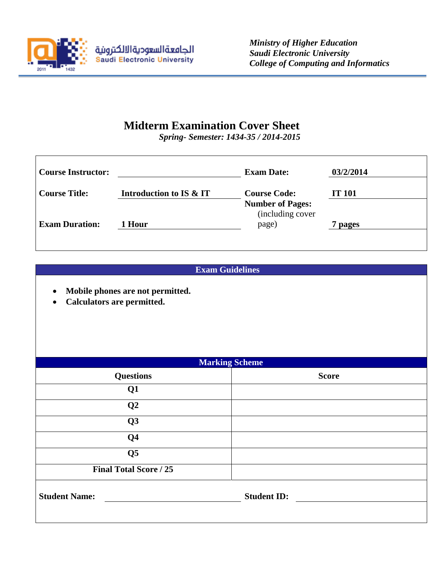

## **Midterm Examination Cover Sheet**

*Spring- Semester: 1434-35 / 2014-2015*

| <b>Course Instructor:</b> |                         | <b>Exam Date:</b>                           | 03/2/2014     |
|---------------------------|-------------------------|---------------------------------------------|---------------|
| <b>Course Title:</b>      | Introduction to IS & IT | <b>Course Code:</b>                         | <b>IT 101</b> |
|                           |                         | <b>Number of Pages:</b><br>(including cover |               |
| <b>Exam Duration:</b>     | 1 Hour                  | page)                                       | 7 pages       |
|                           |                         |                                             |               |

## **Exam Guidelines**

- **Mobile phones are not permitted.**
- **Calculators are permitted.**

| <b>Marking Scheme</b>         |                    |  |  |  |  |
|-------------------------------|--------------------|--|--|--|--|
| <b>Questions</b>              | <b>Score</b>       |  |  |  |  |
| Q1                            |                    |  |  |  |  |
| Q2                            |                    |  |  |  |  |
| Q3                            |                    |  |  |  |  |
| Q <sub>4</sub>                |                    |  |  |  |  |
| Q <sub>5</sub>                |                    |  |  |  |  |
| <b>Final Total Score / 25</b> |                    |  |  |  |  |
| <b>Student Name:</b>          | <b>Student ID:</b> |  |  |  |  |
|                               |                    |  |  |  |  |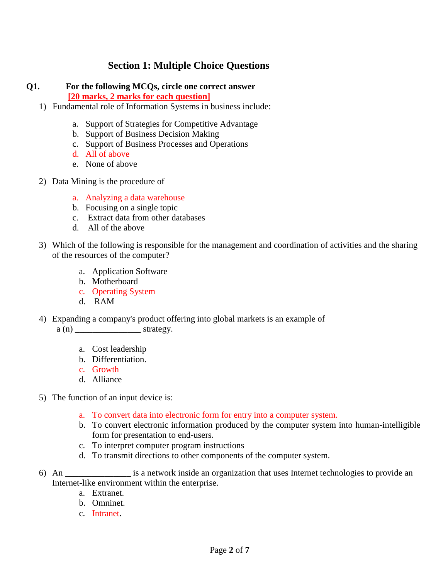## **Section 1: Multiple Choice Questions**

# **Q1. For the following MCQs, circle one correct answer**

 **[20 marks, 2 marks for each question]** 

- 1) Fundamental role of Information Systems in business include:
	- a. Support of Strategies for Competitive Advantage
	- b. Support of Business Decision Making
	- c. Support of Business Processes and Operations
	- d. All of above
	- e. None of above
- 2) Data Mining is the procedure of
	- a. Analyzing a data warehouse
	- b. Focusing on a single topic
	- c. Extract data from other databases
	- d. All of the above
- 3) Which of the following is responsible for the management and coordination of activities and the sharing of the resources of the computer?
	- a. Application Software
	- b. Motherboard
	- c. Operating System
	- d. RAM
- 4) Expanding a company's product offering into global markets is an example of  $a(n)$  \_\_\_\_\_\_\_\_\_\_\_\_\_\_\_\_\_\_\_\_\_\_ strategy.
	- a. Cost leadership
	- b. Differentiation.
	- c. Growth
	- d. Alliance

ssass massa massa ole anno monocontra advise

- 5) The function of an input device is:
	- a. To convert data into electronic form for entry into a computer system.
	- b. To convert electronic information produced by the computer system into human-intelligible form for presentation to end-users.
	- c. To interpret computer program instructions
	- d. To transmit directions to other components of the computer system.
- 6) An \_\_\_\_\_\_\_\_\_\_\_\_\_\_\_ is a network inside an organization that uses Internet technologies to provide an Internet-like environment within the enterprise.
	- a. Extranet.
	- b. Omninet.
	- c. Intranet.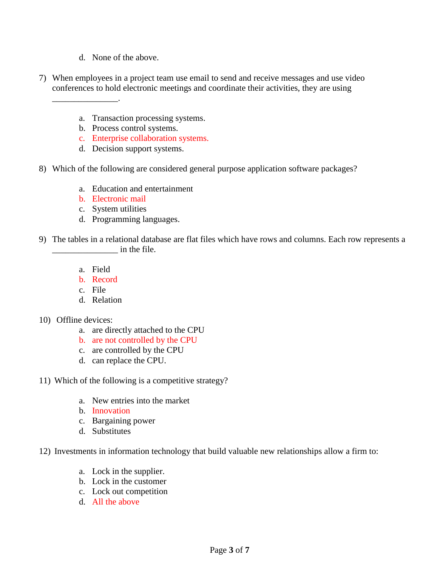d. None of the above.

\_\_\_\_\_\_\_\_\_\_\_\_\_\_\_.

- 7) When employees in a project team use email to send and receive messages and use video conferences to hold electronic meetings and coordinate their activities, they are using
	- a. Transaction processing systems.
	- b. Process control systems.
	- c. Enterprise collaboration systems.
	- d. Decision support systems.
- 8) Which of the following are considered general purpose application software packages?
	- a. Education and entertainment
	- b. Electronic mail
	- c. System utilities
	- d. Programming languages.
- 9) The tables in a relational database are flat files which have rows and columns. Each row represents a in the file.
	- a. Field
	- b. Record
	- c. File
	- d. Relation
- 10) Offline devices:
	- a. are directly attached to the CPU
	- b. are not controlled by the CPU
	- c. are controlled by the CPU
	- d. can replace the CPU.
- 11) Which of the following is a competitive strategy?
	- a. New entries into the market
	- b. Innovation
	- c. Bargaining power
	- d. Substitutes

12) Investments in information technology that build valuable new relationships allow a firm to:

- a. Lock in the supplier.
- b. Lock in the customer
- c. Lock out competition
- d. All the above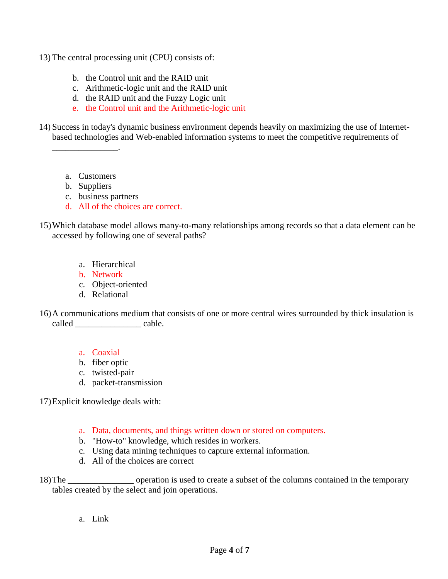- 13) The central processing unit (CPU) consists of:
	- b. the Control unit and the RAID unit
	- c. Arithmetic-logic unit and the RAID unit
	- d. the RAID unit and the Fuzzy Logic unit
	- e. the Control unit and the Arithmetic-logic unit

14) Success in today's dynamic business environment depends heavily on maximizing the use of Internetbased technologies and Web-enabled information systems to meet the competitive requirements of

a. Customers

\_\_\_\_\_\_\_\_\_\_\_\_\_\_\_.

- b. Suppliers
- c. business partners
- d. All of the choices are correct.
- 15)Which database model allows many-to-many relationships among records so that a data element can be accessed by following one of several paths?
	- a. Hierarchical
	- b. Network
	- c. Object-oriented
	- d. Relational
- 16)A communications medium that consists of one or more central wires surrounded by thick insulation is called cable.
	- a. Coaxial
	- b. fiber optic
	- c. twisted-pair
	- d. packet-transmission

17)Explicit knowledge deals with:

- a. Data, documents, and things written down or stored on computers.
- b. "How-to" knowledge, which resides in workers.
- c. Using data mining techniques to capture external information.
- d. All of the choices are correct

18)The \_\_\_\_\_\_\_\_\_\_\_\_\_\_\_ operation is used to create a subset of the columns contained in the temporary tables created by the select and join operations.

a. Link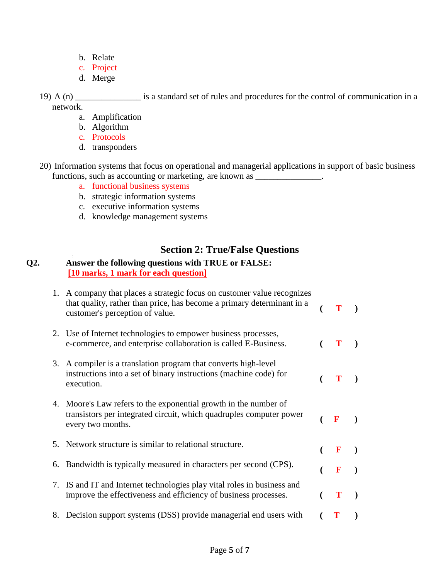- b. Relate
- c. Project
- d. Merge
- 19) A (n) \_\_\_\_\_\_\_\_\_\_\_\_\_\_\_ is a standard set of rules and procedures for the control of communication in a network.
	- a. Amplification
	- b. Algorithm
	- c. Protocols
	- d. transponders
- 20) Information systems that focus on operational and managerial applications in support of basic business functions, such as accounting or marketing, are known as \_\_\_\_\_\_\_\_\_\_\_\_\_\_\_\_\_\_\_\_\_\_\_\_
	- a. functional business systems
	- b. strategic information systems
	- c. executive information systems
	- d. knowledge management systems

## **Section 2: True/False Questions**

#### **Q2. Answer the following questions with TRUE or FALSE: [10 marks, 1 mark for each question]**

| 1. A company that places a strategic focus on customer value recognizes<br>that quality, rather than price, has become a primary determinant in a<br>customer's perception of value. |              |  |
|--------------------------------------------------------------------------------------------------------------------------------------------------------------------------------------|--------------|--|
| 2. Use of Internet technologies to empower business processes,<br>e-commerce, and enterprise collaboration is called E-Business.                                                     | T            |  |
| 3. A compiler is a translation program that converts high-level<br>instructions into a set of binary instructions (machine code) for<br>execution.                                   | T            |  |
| 4. Moore's Law refers to the exponential growth in the number of<br>transistors per integrated circuit, which quadruples computer power<br>every two months.                         | $\mathbf{F}$ |  |
| 5. Network structure is similar to relational structure.                                                                                                                             | $\mathbf{F}$ |  |
| 6. Bandwidth is typically measured in characters per second (CPS).                                                                                                                   | $\mathbf{F}$ |  |
| 7. IS and IT and Internet technologies play vital roles in business and<br>improve the effectiveness and efficiency of business processes.                                           | $\mathbf{T}$ |  |
| 8. Decision support systems (DSS) provide managerial end users with                                                                                                                  |              |  |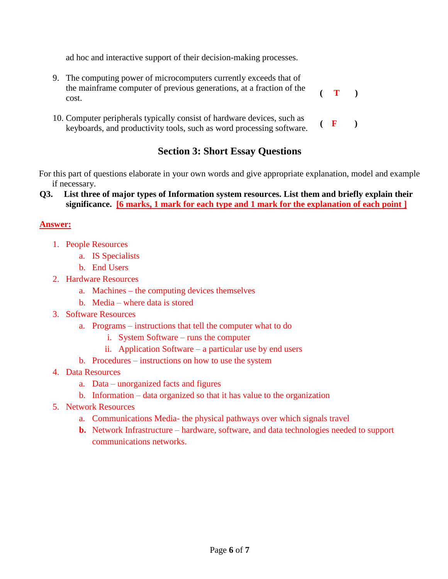ad hoc and interactive support of their decision-making processes.

- 9. The computing power of microcomputers currently exceeds that of the mainframe computer of previous generations, at a fraction of the cost. **( T )**
- 10. Computer peripherals typically consist of hardware devices, such as Computer peripherals typically consist of hardware devices, such as  $( \mathbf{F} )$  keyboards, and productivity tools, such as word processing software.

## **Section 3: Short Essay Questions**

For this part of questions elaborate in your own words and give appropriate explanation, model and example if necessary.

 **Q3. List three of major types of Information system resources. List them and briefly explain their significance. [6 marks, 1 mark for each type and 1 mark for the explanation of each point ]**

#### **Answer:**

- 1. People Resources
	- a. IS Specialists
	- b. End Users
- 2. Hardware Resources
	- a. Machines the computing devices themselves
	- b. Media where data is stored
- 3. Software Resources
	- a. Programs instructions that tell the computer what to do
		- i. System Software runs the computer
		- ii. Application Software a particular use by end users
	- b. Procedures instructions on how to use the system
- 4. Data Resources
	- a. Data unorganized facts and figures
	- b. Information data organized so that it has value to the organization
- 5. Network Resources
	- a. Communications Media- the physical pathways over which signals travel
	- **b.** Network Infrastructure hardware, software, and data technologies needed to support communications networks.